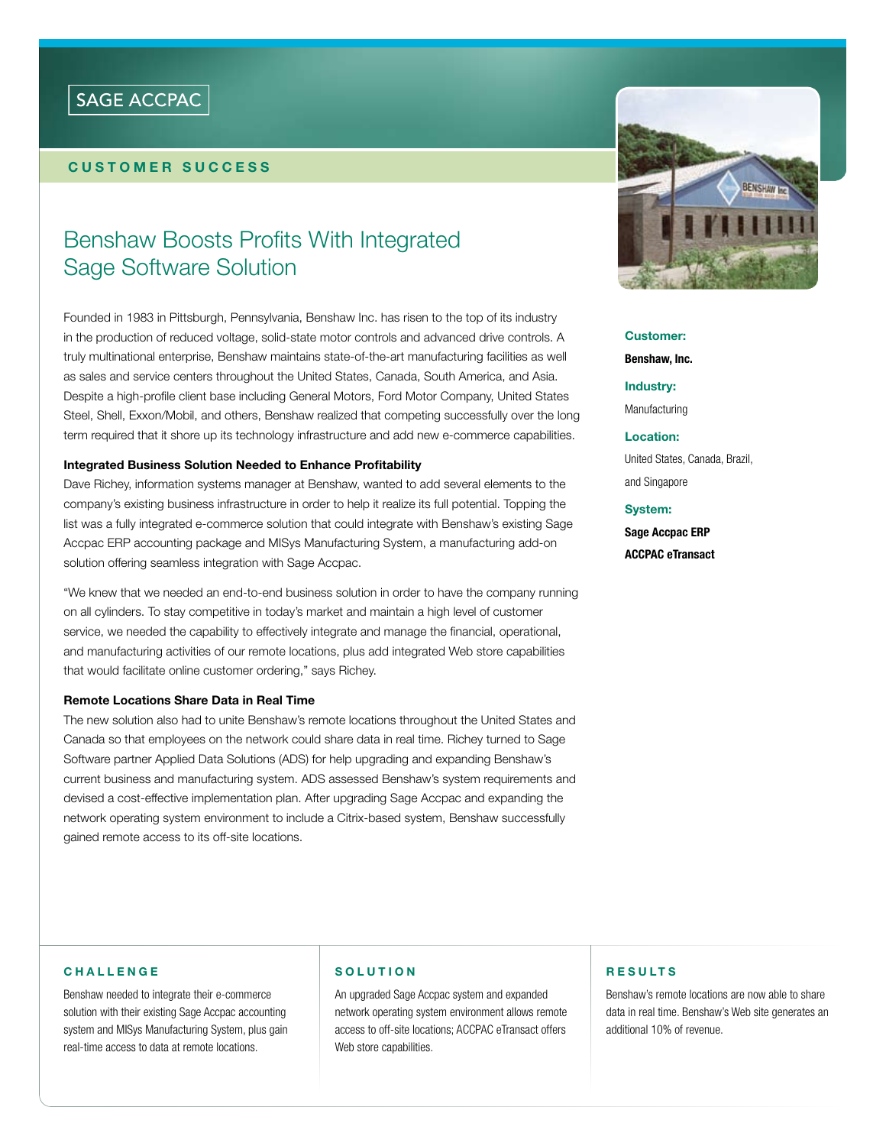## SAGE ACCPAC

## **customer success**

# Benshaw Boosts Profits With Integrated Sage Software Solution

Founded in 1983 in Pittsburgh, Pennsylvania, Benshaw Inc. has risen to the top of its industry in the production of reduced voltage, solid-state motor controls and advanced drive controls. A truly multinational enterprise, Benshaw maintains state-of-the-art manufacturing facilities as well as sales and service centers throughout the United States, Canada, South America, and Asia. Despite a high-profile client base including General Motors, Ford Motor Company, United States Steel, Shell, Exxon/Mobil, and others, Benshaw realized that competing successfully over the long term required that it shore up its technology infrastructure and add new e-commerce capabilities.

#### **Integrated Business Solution Needed to Enhance Profitability**

Dave Richey, information systems manager at Benshaw, wanted to add several elements to the company's existing business infrastructure in order to help it realize its full potential. Topping the list was a fully integrated e-commerce solution that could integrate with Benshaw's existing Sage Accpac ERP accounting package and MISys Manufacturing System, a manufacturing add-on solution offering seamless integration with Sage Accpac.

"We knew that we needed an end-to-end business solution in order to have the company running on all cylinders. To stay competitive in today's market and maintain a high level of customer service, we needed the capability to effectively integrate and manage the financial, operational, and manufacturing activities of our remote locations, plus add integrated Web store capabilities that would facilitate online customer ordering," says Richey.

#### **Remote Locations Share Data in Real Time**

The new solution also had to unite Benshaw's remote locations throughout the United States and Canada so that employees on the network could share data in real time. Richey turned to Sage Software partner Applied Data Solutions (ADS) for help upgrading and expanding Benshaw's current business and manufacturing system. ADS assessed Benshaw's system requirements and devised a cost-effective implementation plan. After upgrading Sage Accpac and expanding the network operating system environment to include a Citrix-based system, Benshaw successfully gained remote access to its off-site locations.



**Customer: Benshaw, Inc.**

**Industry:**  Manufacturing

**Location:**

United States, Canada, Brazil, and Singapore

**System:**

**Sage Accpac ERP ACCPAC eTransact**

#### **C h a ll e n g e**

Benshaw needed to integrate their e-commerce solution with their existing Sage Accpac accounting system and MISys Manufacturing System, plus gain real-time access to data at remote locations.

## **S o l u t i o n**

An upgraded Sage Accpac system and expanded network operating system environment allows remote access to off-site locations; ACCPAC eTransact offers Web store capabilities.

### **R esu lt s**

Benshaw's remote locations are now able to share data in real time. Benshaw's Web site generates an additional 10% of revenue.